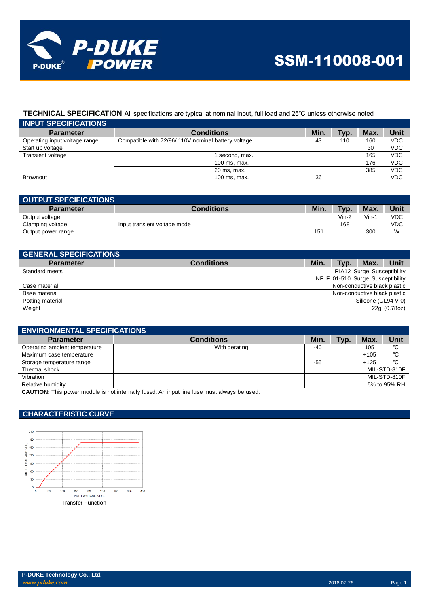

## **TECHNICAL SPECIFICATION** All specifications are typical at nominal input, full load and 25℃ unless otherwise noted

| <b>INPUT SPECIFICATIONS</b>   |                                                    |      |      |      |            |
|-------------------------------|----------------------------------------------------|------|------|------|------------|
| <b>Parameter</b>              | <b>Conditions</b>                                  | Min. | Typ. | Max. | Unit       |
| Operating input voltage range | Compatible with 72/96/110V nominal battery voltage | 43   | 110  | 160  | <b>VDC</b> |
| Start up voltage              |                                                    |      |      | 30   | <b>VDC</b> |
| Transient voltage             | I second, max.                                     |      |      | 165  | <b>VDC</b> |
|                               | 100 ms, max.                                       |      |      | 176  | <b>VDC</b> |
|                               | 20 ms, max.                                        |      |      | 385  | <b>VDC</b> |
| <b>Brownout</b>               | 100 ms. max.                                       | 36   |      |      | <b>VDC</b> |

| OUTPUT SPECIFICATIONS |                              |      |       |      |      |
|-----------------------|------------------------------|------|-------|------|------|
| <b>Parameter</b>      | <b>Conditions</b>            | Min. | Typ.  | Max. | Unit |
| Output voltage        |                              |      | Vin-2 | Vin- | VDC  |
| Clamping voltage      | Input transient voltage mode |      | 168   |      | VDC  |
| Output power range    |                              | 151  |       | 300  | W    |

| <b>GENERAL SPECIFICATIONS</b> |                   |                              |      |                                  |              |
|-------------------------------|-------------------|------------------------------|------|----------------------------------|--------------|
| <b>Parameter</b>              | <b>Conditions</b> | Min.                         | Typ. | Max.                             | Unit         |
| Standard meets                |                   | RIA12 Surge Susceptibility   |      |                                  |              |
|                               |                   |                              |      | NF F 01-510 Surge Susceptibility |              |
| Case material                 |                   | Non-conductive black plastic |      |                                  |              |
| Base material                 |                   |                              |      | Non-conductive black plastic     |              |
| Potting material              |                   |                              |      | Silicone (UL94 V-0)              |              |
| Weight                        |                   |                              |      |                                  | 22g (0.78oz) |

| <b>ENVIRONMENTAL SPECIFICATIONS</b> |                   |      |      |        |              |
|-------------------------------------|-------------------|------|------|--------|--------------|
| <b>Parameter</b>                    | <b>Conditions</b> | Min. | Typ. | Max.   | Unit         |
| Operating ambient temperature       | With derating     | -40  |      | 105    | °C           |
| Maximum case temperature            |                   |      |      | $+105$ | °C           |
| Storage temperature range           |                   | -55  |      | $+125$ | °C           |
| Thermal shock                       |                   |      |      |        | MIL-STD-810F |
| Vibration                           |                   |      |      |        | MIL-STD-810F |
| Relative humidity                   |                   |      |      |        | 5% to 95% RH |
| .<br>- - - ---- - - - - - - -       | .                 |      |      |        |              |

**CAUTION:** This power module is not internally fused. An input line fuse must always be used.

### **CHARACTERISTIC CURVE**

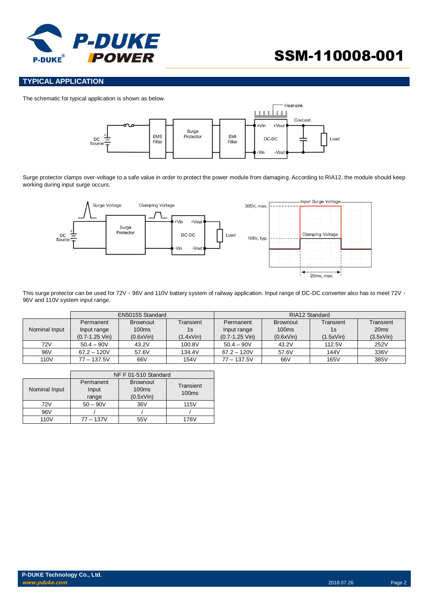

# SSM-110008-001

#### **TYPICAL APPLICATION**

The schematic for typical application is shown as below.



Surge protector clamps over-voltage to a safe value in order to protect the power module from damaging. According to RIA12, the module should keep working during input surge occurs.



This surge protector can be used for 72V · 96V and 110V battery system of railway application. Input range of DC-DC converter also has to meet 72V · 96V and 110V system input range.

|               | EN50155 Standard   |                 |           | RIA12 Standard     |                 |           |                  |
|---------------|--------------------|-----------------|-----------|--------------------|-----------------|-----------|------------------|
|               | Permanent          | <b>Brownout</b> | Transient | Permanent          | <b>Brownout</b> | Transient | Transient        |
| Nominal Input | Input range        | 100ms           | 1s        | Input range        | 100ms           | 1s        | 20 <sub>ms</sub> |
|               | $(0.7 - 1.25$ Vin) | (0.6xVin)       | (1.4xVin) | $(0.7 - 1.25$ Vin) | (0.6xVin)       | (1.5xVin) | (3.5xVin)        |
| 72V           | $50.4 - 90V$       | 43.2V           | 100.8V    | $50.4 - 90V$       | 43.2V           | 112.5V    | 252V             |
| 96V           | $67.2 - 120V$      | 57.6V           | 134.4V    | $67.2 - 120V$      | 57.6V           | 144V      | 336V             |
| 110V          | $77 - 137.5V$      | 66V             | 154V      | $77 - 137.5V$      | 66V             | 165V      | 385V             |

|                  | NF F 01-510 Standard        |                                                   |                                |  |
|------------------|-----------------------------|---------------------------------------------------|--------------------------------|--|
| Nominal Input    | Permanent<br>Input<br>range | <b>Brownout</b><br>100 <sub>ms</sub><br>(0.5xVin) | Transient<br>100 <sub>ms</sub> |  |
| 72V              | $50 - 90V$                  | 36V                                               | <b>115V</b>                    |  |
| 96V              |                             |                                                   |                                |  |
| 110 <sub>V</sub> | $77 - 137V$                 | 55V                                               | 176V                           |  |